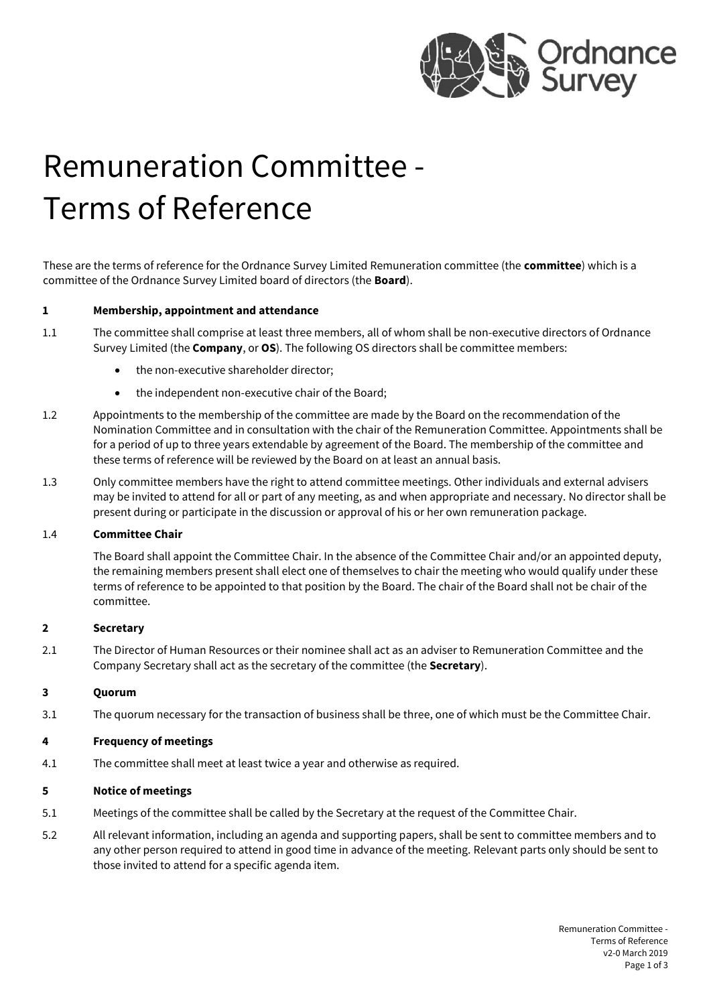

# Remuneration Committee - Terms of Reference

These are the terms of reference for the Ordnance Survey Limited Remuneration committee (the **committee**) which is a committee of the Ordnance Survey Limited board of directors (the **Board**).

#### **1 Membership, appointment and attendance**

- 1.1 The committee shall comprise at least three members, all of whom shall be non-executive directors of Ordnance Survey Limited (the **Company**, or **OS**). The following OS directors shall be committee members:
	- the non-executive shareholder director;
	- the independent non-executive chair of the Board;
- 1.2 Appointments to the membership of the committee are made by the Board on the recommendation of the Nomination Committee and in consultation with the chair of the Remuneration Committee. Appointments shall be for a period of up to three years extendable by agreement of the Board. The membership of the committee and these terms of reference will be reviewed by the Board on at least an annual basis.
- 1.3 Only committee members have the right to attend committee meetings. Other individuals and external advisers may be invited to attend for all or part of any meeting, as and when appropriate and necessary. No director shall be present during or participate in the discussion or approval of his or her own remuneration package.

#### 1.4 **Committee Chair**

The Board shall appoint the Committee Chair. In the absence of the Committee Chair and/or an appointed deputy, the remaining members present shall elect one of themselves to chair the meeting who would qualify under these terms of reference to be appointed to that position by the Board. The chair of the Board shall not be chair of the committee.

#### **2 Secretary**

2.1 The Director of Human Resources or their nominee shall act as an adviser to Remuneration Committee and the Company Secretary shall act as the secretary of the committee (the **Secretary**).

#### **3 Quorum**

3.1 The quorum necessary for the transaction of business shall be three, one of which must be the Committee Chair.

#### **4 Frequency of meetings**

4.1 The committee shall meet at least twice a year and otherwise as required.

#### **5 Notice of meetings**

- 5.1 Meetings of the committee shall be called by the Secretary at the request of the Committee Chair.
- 5.2 All relevant information, including an agenda and supporting papers, shall be sent to committee members and to any other person required to attend in good time in advance of the meeting. Relevant parts only should be sent to those invited to attend for a specific agenda item.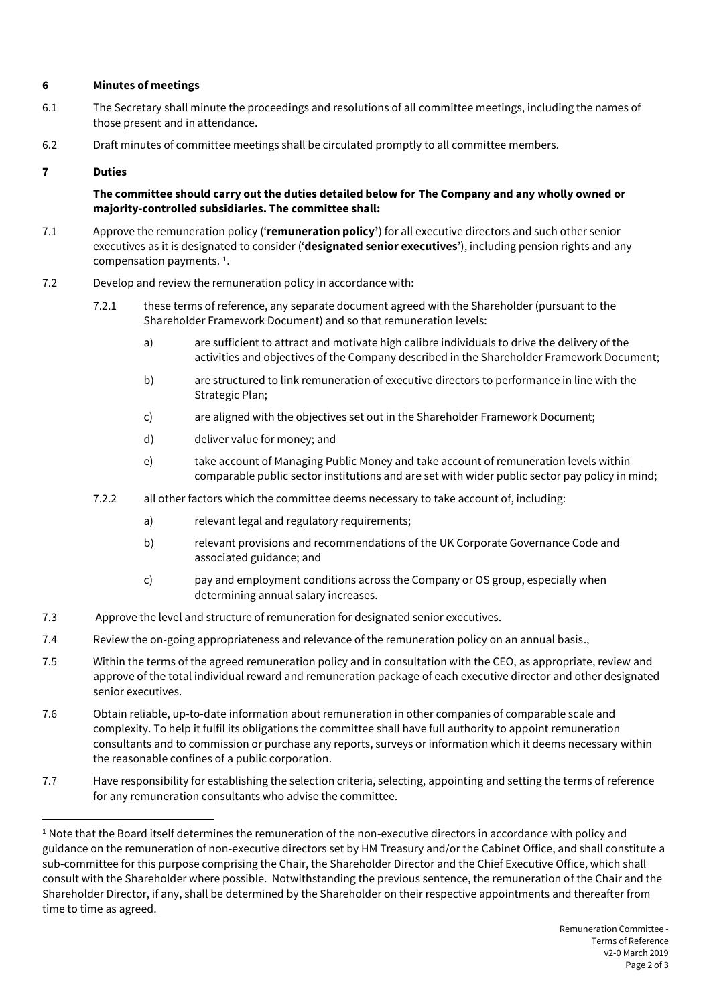## **6 Minutes of meetings**

- 6.1 The Secretary shall minute the proceedings and resolutions of all committee meetings, including the names of those present and in attendance.
- 6.2 Draft minutes of committee meetings shall be circulated promptly to all committee members.

### **7 Duties**

**The committee should carry out the duties detailed below for The Company and any wholly owned or majority-controlled subsidiaries. The committee shall:**

- 7.1 Approve the remuneration policy ('**remuneration policy'**) for all executive directors and such other senior executives as it is designated to consider ('**designated senior executives**'), including pension rights and any compensation payments. 1 .
- 7.2 Develop and review the remuneration policy in accordance with:
	- 7.2.1 these terms of reference, any separate document agreed with the Shareholder (pursuant to the Shareholder Framework Document) and so that remuneration levels:
		- a) are sufficient to attract and motivate high calibre individuals to drive the delivery of the activities and objectives of the Company described in the Shareholder Framework Document;
		- b) are structured to link remuneration of executive directors to performance in line with the Strategic Plan;
		- c) are aligned with the objectives set out in the Shareholder Framework Document;
		- d) deliver value for money; and
		- e) take account of Managing Public Money and take account of remuneration levels within comparable public sector institutions and are set with wider public sector pay policy in mind;
	- 7.2.2 all other factors which the committee deems necessary to take account of, including:
		- a) relevant legal and regulatory requirements:
		- b) relevant provisions and recommendations of the UK Corporate Governance Code and associated guidance; and
		- c) pay and employment conditions across the Company or OS group, especially when determining annual salary increases.
- 7.3 Approve the level and structure of remuneration for designated senior executives.
- 7.4 Review the on-going appropriateness and relevance of the remuneration policy on an annual basis.,
- 7.5 Within the terms of the agreed remuneration policy and in consultation with the CEO, as appropriate, review and approve of the total individual reward and remuneration package of each executive director and other designated senior executives.
- 7.6 Obtain reliable, up-to-date information about remuneration in other companies of comparable scale and complexity. To help it fulfil its obligations the committee shall have full authority to appoint remuneration consultants and to commission or purchase any reports, surveys or information which it deems necessary within the reasonable confines of a public corporation.
- 7.7 Have responsibility for establishing the selection criteria, selecting, appointing and setting the terms of reference for any remuneration consultants who advise the committee.

<sup>1</sup> Note that the Board itself determines the remuneration of the non-executive directors in accordance with policy and guidance on the remuneration of non-executive directors set by HM Treasury and/or the Cabinet Office, and shall constitute a sub-committee for this purpose comprising the Chair, the Shareholder Director and the Chief Executive Office, which shall consult with the Shareholder where possible. Notwithstanding the previous sentence, the remuneration of the Chair and the Shareholder Director, if any, shall be determined by the Shareholder on their respective appointments and thereafter from time to time as agreed.